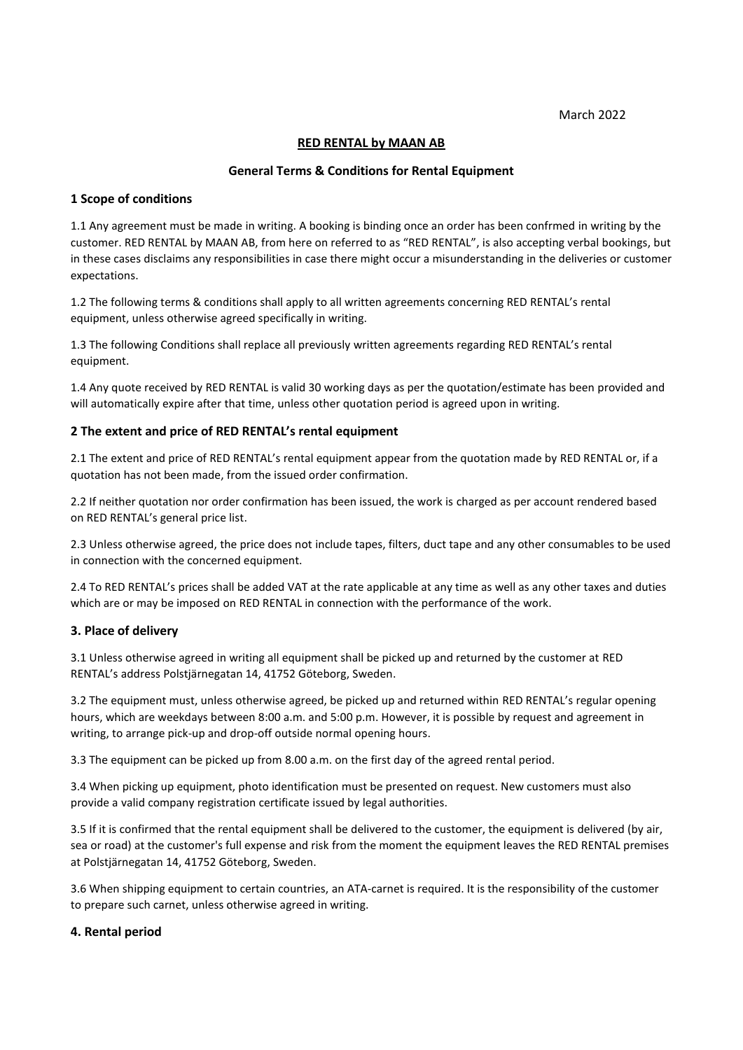March 2022

## **RED RENTAL by MAAN AB**

## **General Terms & Conditions for Rental Equipment**

### **1 Scope of conditions**

1.1 Any agreement must be made in writing. A booking is binding once an order has been confrmed in writing by the customer. RED RENTAL by MAAN AB, from here on referred to as "RED RENTAL", is also accepting verbal bookings, but in these cases disclaims any responsibilities in case there might occur a misunderstanding in the deliveries or customer expectations.

1.2 The following terms & conditions shall apply to all written agreements concerning RED RENTAL's rental equipment, unless otherwise agreed specifically in writing.

1.3 The following Conditions shall replace all previously written agreements regarding RED RENTAL's rental equipment.

1.4 Any quote received by RED RENTAL is valid 30 working days as per the quotation/estimate has been provided and will automatically expire after that time, unless other quotation period is agreed upon in writing.

## **2 The extent and price of RED RENTAL's rental equipment**

2.1 The extent and price of RED RENTAL's rental equipment appear from the quotation made by RED RENTAL or, if a quotation has not been made, from the issued order confirmation.

2.2 If neither quotation nor order confirmation has been issued, the work is charged as per account rendered based on RED RENTAL's general price list.

2.3 Unless otherwise agreed, the price does not include tapes, filters, duct tape and any other consumables to be used in connection with the concerned equipment.

2.4 To RED RENTAL's prices shall be added VAT at the rate applicable at any time as well as any other taxes and duties which are or may be imposed on RED RENTAL in connection with the performance of the work.

#### **3. Place of delivery**

3.1 Unless otherwise agreed in writing all equipment shall be picked up and returned by the customer at RED RENTAL's address Polstjärnegatan 14, 41752 Göteborg, Sweden.

3.2 The equipment must, unless otherwise agreed, be picked up and returned within RED RENTAL's regular opening hours, which are weekdays between 8:00 a.m. and 5:00 p.m. However, it is possible by request and agreement in writing, to arrange pick-up and drop-off outside normal opening hours.

3.3 The equipment can be picked up from 8.00 a.m. on the first day of the agreed rental period.

3.4 When picking up equipment, photo identification must be presented on request. New customers must also provide a valid company registration certificate issued by legal authorities.

3.5 If it is confirmed that the rental equipment shall be delivered to the customer, the equipment is delivered (by air, sea or road) at the customer's full expense and risk from the moment the equipment leaves the RED RENTAL premises at Polstjärnegatan 14, 41752 Göteborg, Sweden.

3.6 When shipping equipment to certain countries, an ATA-carnet is required. It is the responsibility of the customer to prepare such carnet, unless otherwise agreed in writing.

#### **4. Rental period**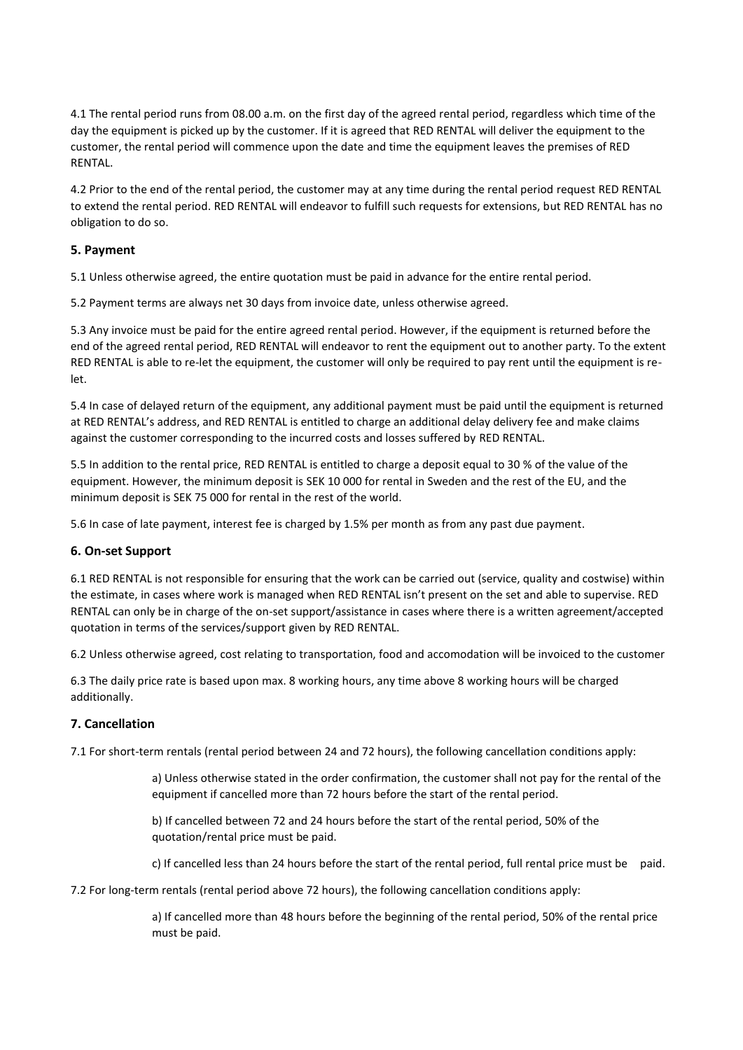4.1 The rental period runs from 08.00 a.m. on the first day of the agreed rental period, regardless which time of the day the equipment is picked up by the customer. If it is agreed that RED RENTAL will deliver the equipment to the customer, the rental period will commence upon the date and time the equipment leaves the premises of RED RENTAL.

4.2 Prior to the end of the rental period, the customer may at any time during the rental period request RED RENTAL to extend the rental period. RED RENTAL will endeavor to fulfill such requests for extensions, but RED RENTAL has no obligation to do so.

# **5. Payment**

5.1 Unless otherwise agreed, the entire quotation must be paid in advance for the entire rental period.

5.2 Payment terms are always net 30 days from invoice date, unless otherwise agreed.

5.3 Any invoice must be paid for the entire agreed rental period. However, if the equipment is returned before the end of the agreed rental period, RED RENTAL will endeavor to rent the equipment out to another party. To the extent RED RENTAL is able to re-let the equipment, the customer will only be required to pay rent until the equipment is relet.

5.4 In case of delayed return of the equipment, any additional payment must be paid until the equipment is returned at RED RENTAL's address, and RED RENTAL is entitled to charge an additional delay delivery fee and make claims against the customer corresponding to the incurred costs and losses suffered by RED RENTAL.

5.5 In addition to the rental price, RED RENTAL is entitled to charge a deposit equal to 30 % of the value of the equipment. However, the minimum deposit is SEK 10 000 for rental in Sweden and the rest of the EU, and the minimum deposit is SEK 75 000 for rental in the rest of the world.

5.6 In case of late payment, interest fee is charged by 1.5% per month as from any past due payment.

# **6. On-set Support**

6.1 RED RENTAL is not responsible for ensuring that the work can be carried out (service, quality and costwise) within the estimate, in cases where work is managed when RED RENTAL isn't present on the set and able to supervise. RED RENTAL can only be in charge of the on-set support/assistance in cases where there is a written agreement/accepted quotation in terms of the services/support given by RED RENTAL.

6.2 Unless otherwise agreed, cost relating to transportation, food and accomodation will be invoiced to the customer

6.3 The daily price rate is based upon max. 8 working hours, any time above 8 working hours will be charged additionally.

# **7. Cancellation**

7.1 For short-term rentals (rental period between 24 and 72 hours), the following cancellation conditions apply:

a) Unless otherwise stated in the order confirmation, the customer shall not pay for the rental of the equipment if cancelled more than 72 hours before the start of the rental period.

b) If cancelled between 72 and 24 hours before the start of the rental period, 50% of the quotation/rental price must be paid.

c) If cancelled less than 24 hours before the start of the rental period, full rental price must be paid.

7.2 For long-term rentals (rental period above 72 hours), the following cancellation conditions apply:

a) If cancelled more than 48 hours before the beginning of the rental period, 50% of the rental price must be paid.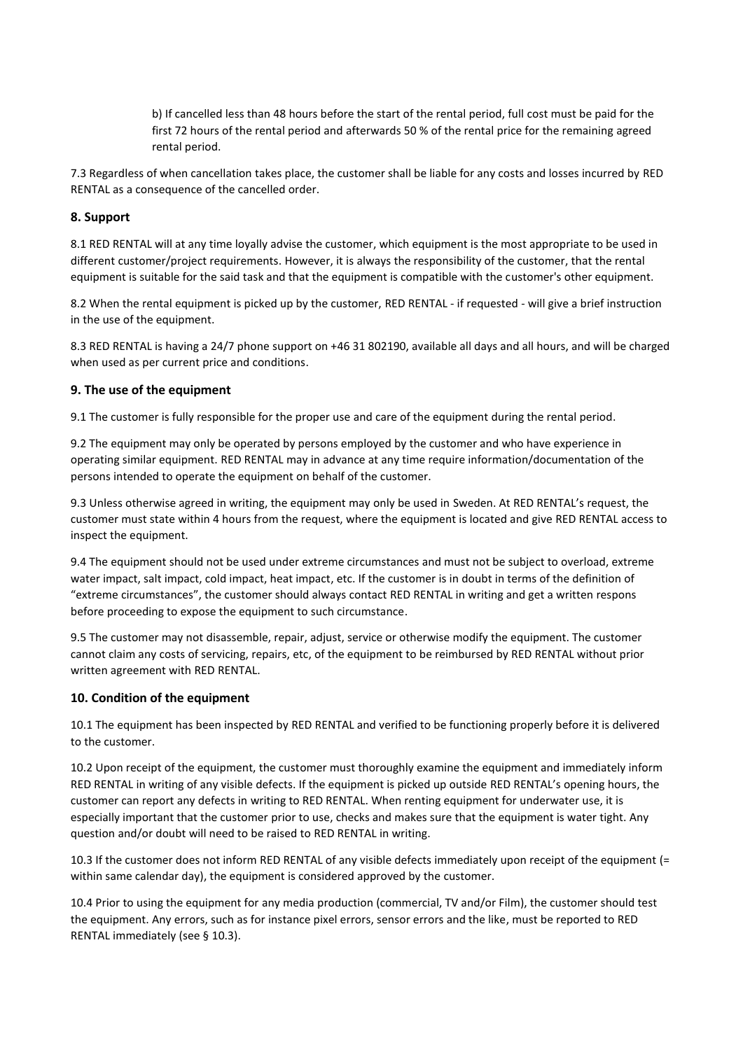b) If cancelled less than 48 hours before the start of the rental period, full cost must be paid for the first 72 hours of the rental period and afterwards 50 % of the rental price for the remaining agreed rental period.

7.3 Regardless of when cancellation takes place, the customer shall be liable for any costs and losses incurred by RED RENTAL as a consequence of the cancelled order.

# **8. Support**

8.1 RED RENTAL will at any time loyally advise the customer, which equipment is the most appropriate to be used in different customer/project requirements. However, it is always the responsibility of the customer, that the rental equipment is suitable for the said task and that the equipment is compatible with the customer's other equipment.

8.2 When the rental equipment is picked up by the customer, RED RENTAL - if requested - will give a brief instruction in the use of the equipment.

8.3 RED RENTAL is having a 24/7 phone support on +46 31 802190, available all days and all hours, and will be charged when used as per current price and conditions.

## **9. The use of the equipment**

9.1 The customer is fully responsible for the proper use and care of the equipment during the rental period.

9.2 The equipment may only be operated by persons employed by the customer and who have experience in operating similar equipment. RED RENTAL may in advance at any time require information/documentation of the persons intended to operate the equipment on behalf of the customer.

9.3 Unless otherwise agreed in writing, the equipment may only be used in Sweden. At RED RENTAL's request, the customer must state within 4 hours from the request, where the equipment is located and give RED RENTAL access to inspect the equipment.

9.4 The equipment should not be used under extreme circumstances and must not be subject to overload, extreme water impact, salt impact, cold impact, heat impact, etc. If the customer is in doubt in terms of the definition of "extreme circumstances", the customer should always contact RED RENTAL in writing and get a written respons before proceeding to expose the equipment to such circumstance.

9.5 The customer may not disassemble, repair, adjust, service or otherwise modify the equipment. The customer cannot claim any costs of servicing, repairs, etc, of the equipment to be reimbursed by RED RENTAL without prior written agreement with RED RENTAL.

# **10. Condition of the equipment**

10.1 The equipment has been inspected by RED RENTAL and verified to be functioning properly before it is delivered to the customer.

10.2 Upon receipt of the equipment, the customer must thoroughly examine the equipment and immediately inform RED RENTAL in writing of any visible defects. If the equipment is picked up outside RED RENTAL's opening hours, the customer can report any defects in writing to RED RENTAL. When renting equipment for underwater use, it is especially important that the customer prior to use, checks and makes sure that the equipment is water tight. Any question and/or doubt will need to be raised to RED RENTAL in writing.

10.3 If the customer does not inform RED RENTAL of any visible defects immediately upon receipt of the equipment (= within same calendar day), the equipment is considered approved by the customer.

10.4 Prior to using the equipment for any media production (commercial, TV and/or Film), the customer should test the equipment. Any errors, such as for instance pixel errors, sensor errors and the like, must be reported to RED RENTAL immediately (see § 10.3).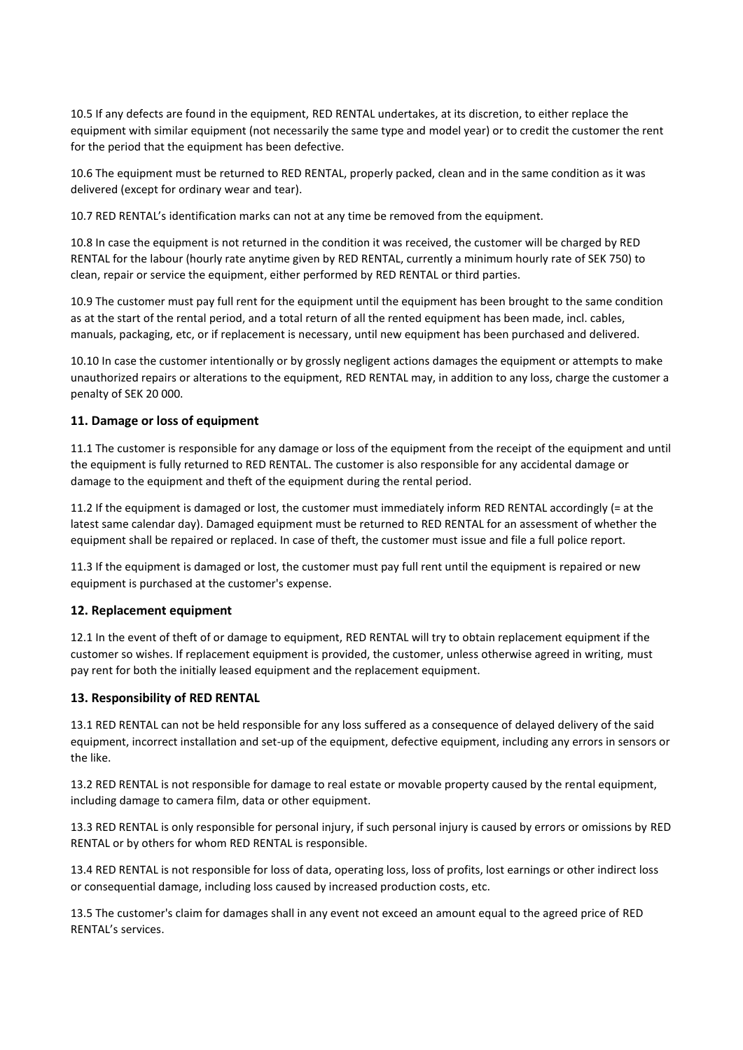10.5 If any defects are found in the equipment, RED RENTAL undertakes, at its discretion, to either replace the equipment with similar equipment (not necessarily the same type and model year) or to credit the customer the rent for the period that the equipment has been defective.

10.6 The equipment must be returned to RED RENTAL, properly packed, clean and in the same condition as it was delivered (except for ordinary wear and tear).

10.7 RED RENTAL's identification marks can not at any time be removed from the equipment.

10.8 In case the equipment is not returned in the condition it was received, the customer will be charged by RED RENTAL for the labour (hourly rate anytime given by RED RENTAL, currently a minimum hourly rate of SEK 750) to clean, repair or service the equipment, either performed by RED RENTAL or third parties.

10.9 The customer must pay full rent for the equipment until the equipment has been brought to the same condition as at the start of the rental period, and a total return of all the rented equipment has been made, incl. cables, manuals, packaging, etc, or if replacement is necessary, until new equipment has been purchased and delivered.

10.10 In case the customer intentionally or by grossly negligent actions damages the equipment or attempts to make unauthorized repairs or alterations to the equipment, RED RENTAL may, in addition to any loss, charge the customer a penalty of SEK 20 000.

## **11. Damage or loss of equipment**

11.1 The customer is responsible for any damage or loss of the equipment from the receipt of the equipment and until the equipment is fully returned to RED RENTAL. The customer is also responsible for any accidental damage or damage to the equipment and theft of the equipment during the rental period.

11.2 If the equipment is damaged or lost, the customer must immediately inform RED RENTAL accordingly (= at the latest same calendar day). Damaged equipment must be returned to RED RENTAL for an assessment of whether the equipment shall be repaired or replaced. In case of theft, the customer must issue and file a full police report.

11.3 If the equipment is damaged or lost, the customer must pay full rent until the equipment is repaired or new equipment is purchased at the customer's expense.

#### **12. Replacement equipment**

12.1 In the event of theft of or damage to equipment, RED RENTAL will try to obtain replacement equipment if the customer so wishes. If replacement equipment is provided, the customer, unless otherwise agreed in writing, must pay rent for both the initially leased equipment and the replacement equipment.

#### **13. Responsibility of RED RENTAL**

13.1 RED RENTAL can not be held responsible for any loss suffered as a consequence of delayed delivery of the said equipment, incorrect installation and set-up of the equipment, defective equipment, including any errors in sensors or the like.

13.2 RED RENTAL is not responsible for damage to real estate or movable property caused by the rental equipment, including damage to camera film, data or other equipment.

13.3 RED RENTAL is only responsible for personal injury, if such personal injury is caused by errors or omissions by RED RENTAL or by others for whom RED RENTAL is responsible.

13.4 RED RENTAL is not responsible for loss of data, operating loss, loss of profits, lost earnings or other indirect loss or consequential damage, including loss caused by increased production costs, etc.

13.5 The customer's claim for damages shall in any event not exceed an amount equal to the agreed price of RED RENTAL's services.